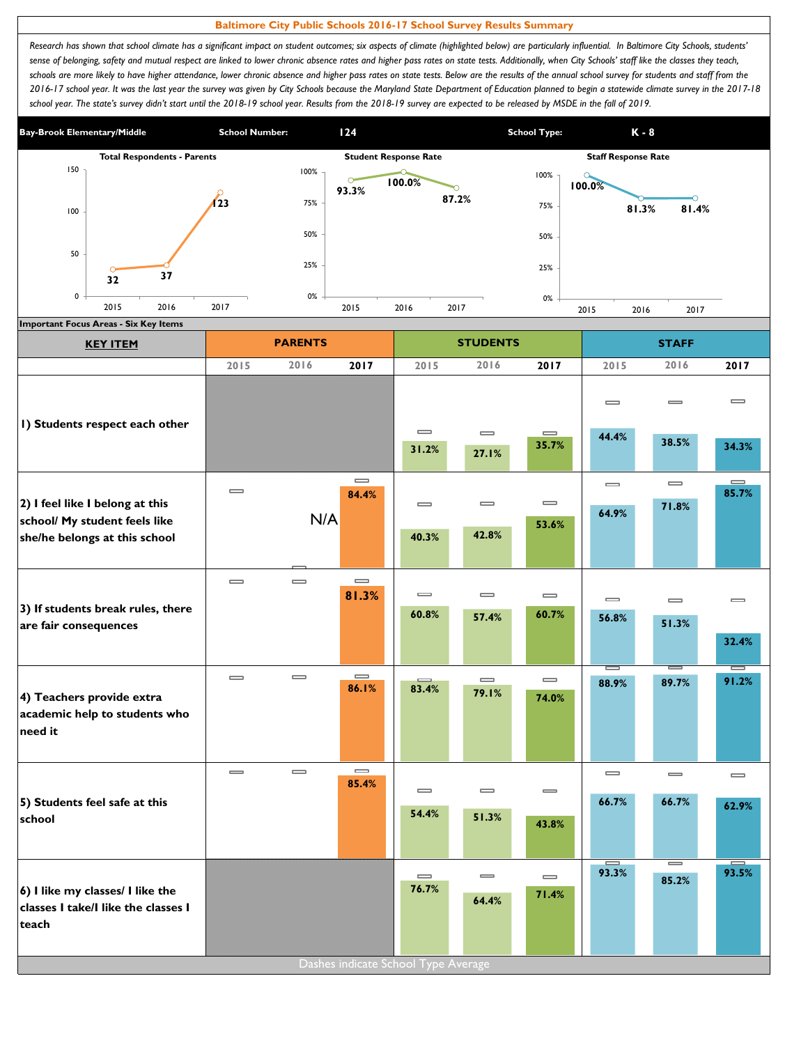## **Baltimore City Public Schools 2016-17 School Survey Results Summary**

Research has shown that school climate has a significant impact on student outcomes; six aspects of climate (highlighted below) are particularly influential. In Baltimore City Schools, students' sense of belonging, safety and mutual respect are linked to lower chronic absence rates and higher pass rates on state tests. Additionally, when City Schools' staff like the classes they teach, schools are more likely to have higher attendance, lower chronic absence and higher pass rates on state tests. Below are the results of the annual school survey for students and staff from the *2016-17 school year. It was the last year the survey was given by City Schools because the Maryland State Department of Education planned to begin a statewide climate survey in the 2017-18*  school year. The state's survey didn't start until the 2018-19 school year. Results from the 2018-19 survey are expected to be released by MSDE in the fall of 2019.



| 2017<br>$\qquad \qquad \blacksquare$<br>84.4%<br>N/A<br>$\qquad \qquad \blacksquare$<br>81.3%<br>$\qquad \qquad \blacksquare$<br>86.1% | 2015<br>$\qquad \qquad \blacksquare$<br>31.2%<br>$\equiv$<br>40.3%<br>$\qquad \qquad \blacksquare$<br>60.8%<br>83.4% | 2016<br>$\equiv$<br>27.1%<br>$\equiv$<br>42.8%<br>$\equiv$<br>57.4%<br>$\qquad \qquad \blacksquare$ | 2017<br>$\qquad \qquad \blacksquare$<br>35.7%<br>$\qquad \qquad \blacksquare$<br>53.6%<br>$\qquad \qquad \blacksquare$<br>60.7%<br>$\qquad \qquad \blacksquare$ | 2015<br>$\equiv$<br>44.4%<br>$\equiv$<br>64.9%<br>$\qquad \qquad \blacksquare$<br>56.8%<br>$\overline{\phantom{a}}$ | 2016<br>$\equiv$<br>38.5%<br>$\equiv$<br>71.8%<br>$\equiv$<br>51.3% | 2017<br>$\qquad \qquad \blacksquare$<br>34.3%<br>$\qquad \qquad \blacksquare$<br>85.7%<br>$\equiv$<br>32.4%<br>$=$ |
|----------------------------------------------------------------------------------------------------------------------------------------|----------------------------------------------------------------------------------------------------------------------|-----------------------------------------------------------------------------------------------------|-----------------------------------------------------------------------------------------------------------------------------------------------------------------|---------------------------------------------------------------------------------------------------------------------|---------------------------------------------------------------------|--------------------------------------------------------------------------------------------------------------------|
|                                                                                                                                        |                                                                                                                      |                                                                                                     |                                                                                                                                                                 |                                                                                                                     |                                                                     |                                                                                                                    |
|                                                                                                                                        |                                                                                                                      |                                                                                                     |                                                                                                                                                                 |                                                                                                                     |                                                                     |                                                                                                                    |
|                                                                                                                                        |                                                                                                                      |                                                                                                     |                                                                                                                                                                 |                                                                                                                     |                                                                     |                                                                                                                    |
|                                                                                                                                        |                                                                                                                      |                                                                                                     |                                                                                                                                                                 |                                                                                                                     |                                                                     |                                                                                                                    |
|                                                                                                                                        |                                                                                                                      |                                                                                                     |                                                                                                                                                                 |                                                                                                                     |                                                                     |                                                                                                                    |
|                                                                                                                                        |                                                                                                                      |                                                                                                     |                                                                                                                                                                 |                                                                                                                     |                                                                     |                                                                                                                    |
|                                                                                                                                        |                                                                                                                      |                                                                                                     |                                                                                                                                                                 |                                                                                                                     |                                                                     |                                                                                                                    |
|                                                                                                                                        |                                                                                                                      |                                                                                                     |                                                                                                                                                                 |                                                                                                                     |                                                                     |                                                                                                                    |
|                                                                                                                                        |                                                                                                                      |                                                                                                     |                                                                                                                                                                 |                                                                                                                     |                                                                     |                                                                                                                    |
|                                                                                                                                        |                                                                                                                      |                                                                                                     |                                                                                                                                                                 |                                                                                                                     |                                                                     | 91.2%                                                                                                              |
|                                                                                                                                        |                                                                                                                      | 79.1%                                                                                               | 74.0%                                                                                                                                                           | 88.9%                                                                                                               | 89.7%                                                               |                                                                                                                    |
| $\qquad \qquad =$<br>85.4%                                                                                                             |                                                                                                                      |                                                                                                     |                                                                                                                                                                 | $\qquad \qquad \blacksquare$                                                                                        | $\equiv$                                                            | $\qquad \qquad \blacksquare$                                                                                       |
|                                                                                                                                        | $\equiv$                                                                                                             | $\equiv$                                                                                            | $\overline{\phantom{0}}$                                                                                                                                        | 66.7%                                                                                                               | 66.7%                                                               | 62.9%                                                                                                              |
|                                                                                                                                        | 54.4%                                                                                                                | 51.3%                                                                                               | 43.8%                                                                                                                                                           |                                                                                                                     |                                                                     |                                                                                                                    |
|                                                                                                                                        | $\qquad \qquad \blacksquare$                                                                                         | $\equiv$                                                                                            | $\qquad \qquad \blacksquare$                                                                                                                                    | 93.3%                                                                                                               | $=$                                                                 | 93.5%                                                                                                              |
|                                                                                                                                        | 76.7%                                                                                                                | 64.4%                                                                                               | 71.4%                                                                                                                                                           |                                                                                                                     |                                                                     |                                                                                                                    |
|                                                                                                                                        |                                                                                                                      |                                                                                                     |                                                                                                                                                                 |                                                                                                                     |                                                                     | 85.2%                                                                                                              |